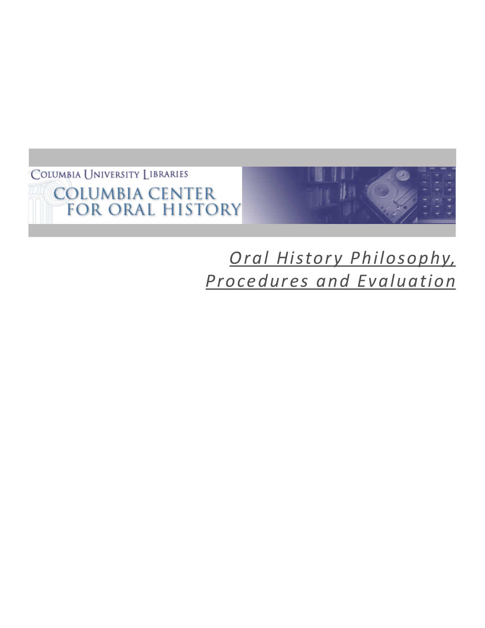COLUMBIA UNIVERSITY LIBRARIES **COLUMBIA CENTER<br>FOR ORAL HISTORY** 



# *Oral History Philosophy, Procedures and Evaluation*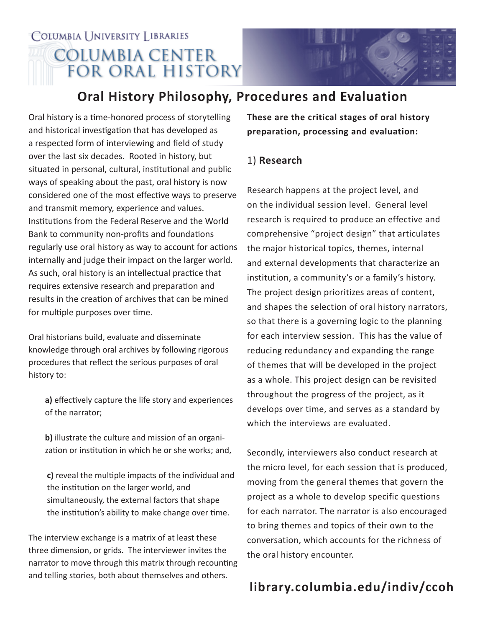## COLUMBIA UNIVERSITY LIBRARIES **COLUMBIA CENTER FOR ORAL HISTORY**



### **Oral History Philosophy, Procedures and Evaluation**

Oral history is a time-honored process of storytelling and historical investigation that has developed as a respected form of interviewing and field of study over the last six decades. Rooted in history, but situated in personal, cultural, institutional and public ways of speaking about the past, oral history is now considered one of the most effective ways to preserve and transmit memory, experience and values. Institutions from the Federal Reserve and the World Bank to community non-profits and foundations regularly use oral history as way to account for actions internally and judge their impact on the larger world. As such, oral history is an intellectual practice that requires extensive research and preparation and results in the creation of archives that can be mined for multiple purposes over time.

Oral historians build, evaluate and disseminate knowledge through oral archives by following rigorous procedures that reflect the serious purposes of oral history to:

 **a)** effectively capture the life story and experiences of the narrator;

 **b)** illustrate the culture and mission of an organi zation or institution in which he or she works; and,

 **c)** reveal the multiple impacts of the individual and the institution on the larger world, and simultaneously, the external factors that shape the institution's ability to make change over time.

The interview exchange is a matrix of at least these three dimension, or grids. The interviewer invites the narrator to move through this matrix through recounting and telling stories, both about themselves and others.

**These are the critical stages of oral history preparation, processing and evaluation:**

#### 1) **Research**

Research happens at the project level, and on the individual session level. General level research is required to produce an effective and comprehensive "project design" that articulates the major historical topics, themes, internal and external developments that characterize an institution, a community's or a family's history. The project design prioritizes areas of content, and shapes the selection of oral history narrators, so that there is a governing logic to the planning for each interview session. This has the value of reducing redundancy and expanding the range of themes that will be developed in the project as a whole. This project design can be revisited throughout the progress of the project, as it develops over time, and serves as a standard by which the interviews are evaluated.

Secondly, interviewers also conduct research at the micro level, for each session that is produced, moving from the general themes that govern the project as a whole to develop specific questions for each narrator. The narrator is also encouraged to bring themes and topics of their own to the conversation, which accounts for the richness of the oral history encounter.

### **library.columbia.edu/indiv/ccoh**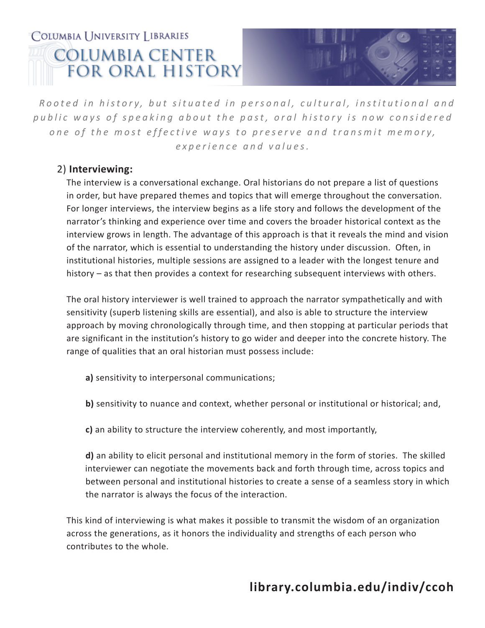## COLUMBIA I INIVERSITY LIBRARIES **COLUMBIA CENTER FOR ORAL HISTORY**



*Rooted in history, but situated in personal, cultural, institutional and* public ways of speaking about the past, oral history is now considered one of the most effective ways to preserve and transmit memory, *experience and values.*

#### 2) **Interviewing:**

The interview is a conversational exchange. Oral historians do not prepare a list of questions in order, but have prepared themes and topics that will emerge throughout the conversation. For longer interviews, the interview begins as a life story and follows the development of the narrator's thinking and experience over time and covers the broader historical context as the interview grows in length. The advantage of this approach is that it reveals the mind and vision of the narrator, which is essential to understanding the history under discussion. Often, in institutional histories, multiple sessions are assigned to a leader with the longest tenure and history – as that then provides a context for researching subsequent interviews with others.

The oral history interviewer is well trained to approach the narrator sympathetically and with sensitivity (superb listening skills are essential), and also is able to structure the interview approach by moving chronologically through time, and then stopping at particular periods that are significant in the institution's history to go wider and deeper into the concrete history. The range of qualities that an oral historian must possess include:

- **a)** sensitivity to interpersonal communications;
- **b)** sensitivity to nuance and context, whether personal or institutional or historical; and,
- **c)** an ability to structure the interview coherently, and most importantly,

**d)** an ability to elicit personal and institutional memory in the form of stories. The skilled interviewer can negotiate the movements back and forth through time, across topics and between personal and institutional histories to create a sense of a seamless story in which the narrator is always the focus of the interaction.

This kind of interviewing is what makes it possible to transmit the wisdom of an organization across the generations, as it honors the individuality and strengths of each person who contributes to the whole.

### **library.columbia.edu/indiv/ccoh**